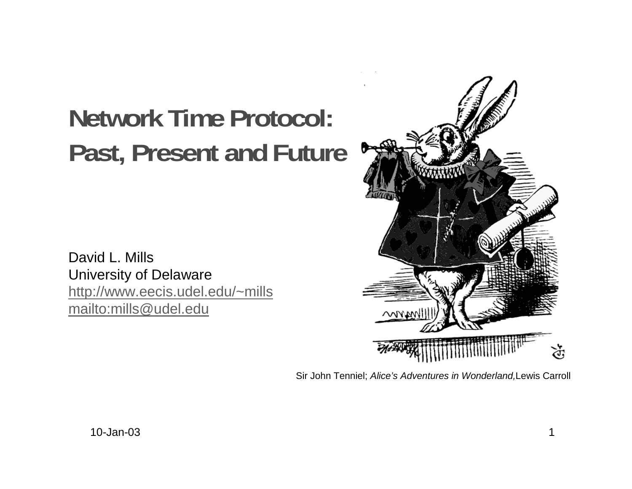# **Network Time Protocol: Past, Present and Future**

David L. MillsUniversity of Delaware http://www.eecis.udel.edu/~mills mailto:mills@udel.edu



Sir John Tenniel; Alice's Adventures in Wonderland,Lewis Carroll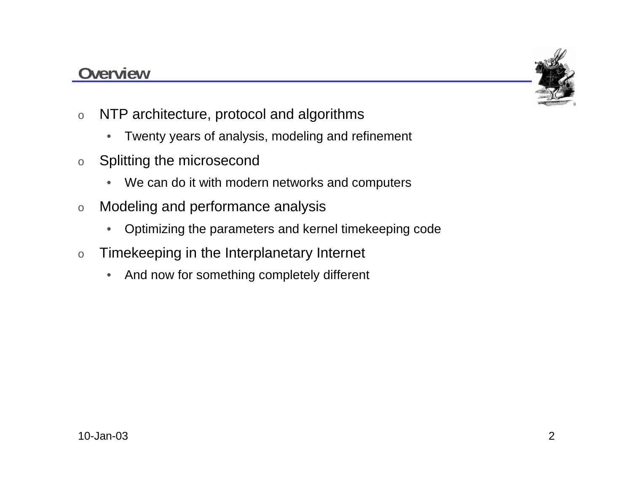#### **Overview**



- o NTP architecture, protocol and algorithms
	- $\bullet$ Twenty years of analysis, modeling and refinement
- o Splitting the microsecond
	- $\bullet$ We can do it with modern networks and computers
- o Modeling and performance analysis
	- $\bullet$ Optimizing the parameters and kernel timekeeping code
- o Timekeeping in the Interplanetary Internet
	- $\bullet$ And now for something completely different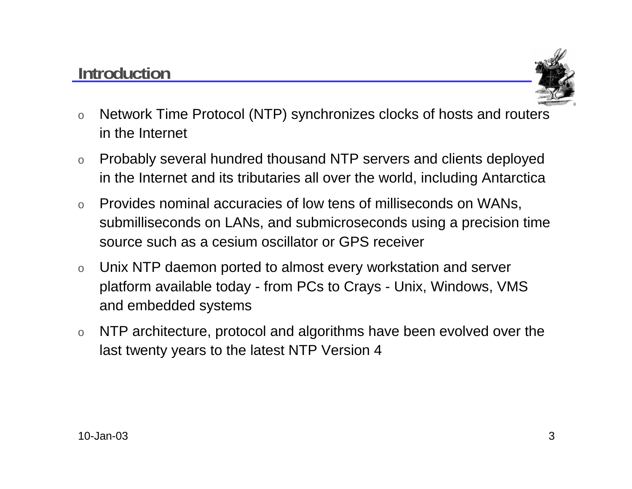#### **Introduction**



- o Network Time Protocol (NTP) synchronizes clocks of hosts and routers in the Internet
- o Probably several hundred thousand NTP servers and clients deployed in the Internet and its tributaries all over the world, including Antarctica
- o Provides nominal accuracies of low tens of milliseconds on WANs, submilliseconds on LANs, and submicroseconds using a precision time source such as a cesium oscillator or GPS receiver
- o Unix NTP daemon ported to almost every workstation and server platform available today - from PCs to Crays - Unix, Windows, VMS and embedded systems
- o NTP architecture, protocol and algorithms have been evolved over the last twenty years to the latest NTP Version 4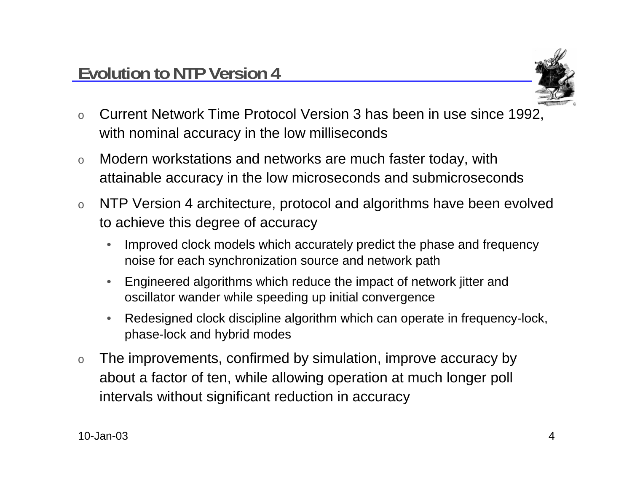

- o Current Network Time Protocol Version 3 has been in use since 1992, with nominal accuracy in the low milliseconds
- o Modern workstations and networks are much faster today, with attainable accuracy in the low microseconds and submicroseconds
- o NTP Version 4 architecture, protocol and algorithms have been evolved to achieve this degree of accuracy
	- • Improved clock models which accurately predict the phase and frequency noise for each synchronization source and network path
	- • Engineered algorithms which reduce the impact of network jitter and oscillator wander while speeding up initial convergence
	- $\bullet$  Redesigned clock discipline algorithm which can operate in frequency-lock, phase-lock and hybrid modes
- o The improvements, confirmed by simulation, improve accuracy by about a factor of ten, while allowing operation at much longer poll intervals without significant reduction in accuracy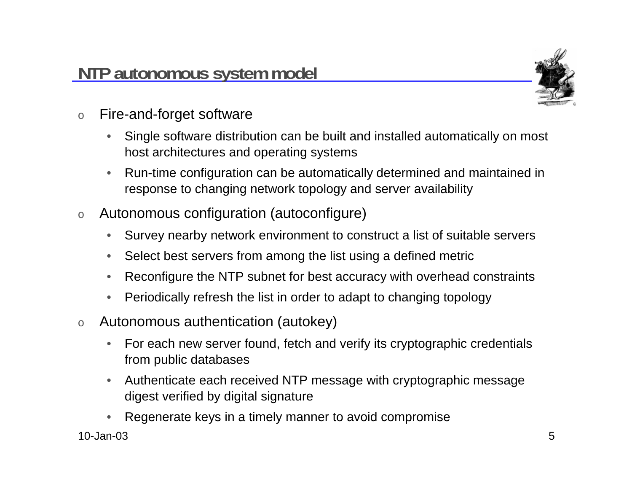

- o Fire-and-forget software
	- $\bullet$  Single software distribution can be built and installed automatically on most host architectures and operating systems
	- • Run-time configuration can be automatically determined and maintained in response to changing network topology and server availability
- o Autonomous configuration (autoconfigure)
	- $\bullet$ Survey nearby network environment to construct a list of suitable servers
	- •Select best servers from among the list using a defined metric
	- •Reconfigure the NTP subnet for best accuracy with overhead constraints
	- •Periodically refresh the list in order to adapt to changing topology
- o Autonomous authentication (autokey)
	- $\bullet$  For each new server found, fetch and verify its cryptographic credentials from public databases
	- • Authenticate each received NTP message with cryptographic message digest verified by digital signature
- 10-Jan-03 $3$  5 •Regenerate keys in a timely manner to avoid compromise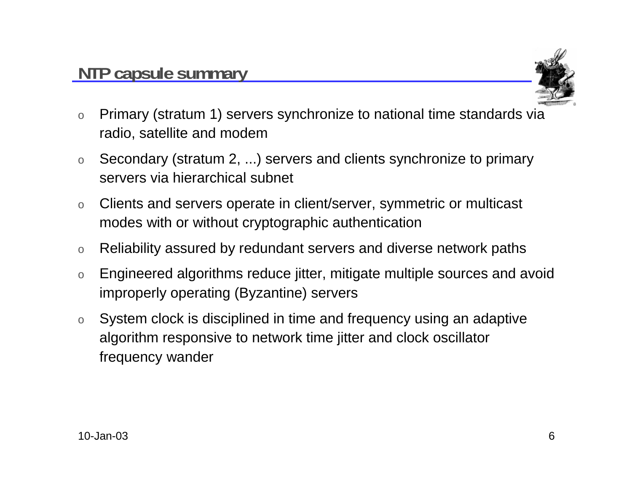

- o Primary (stratum 1) servers synchronize to national time standards via radio, satellite and modem
- o Secondary (stratum 2, ...) servers and clients synchronize to primary servers via hierarchical subnet
- o Clients and servers operate in client/server, symmetric or multicast modes with or without cryptographic authentication
- oReliability assured by redundant servers and diverse network paths
- o Engineered algorithms reduce jitter, mitigate multiple sources and avoid improperly operating (Byzantine) servers
- o System clock is disciplined in time and frequency using an adaptive algorithm responsive to network time jitter and clock oscillator frequency wander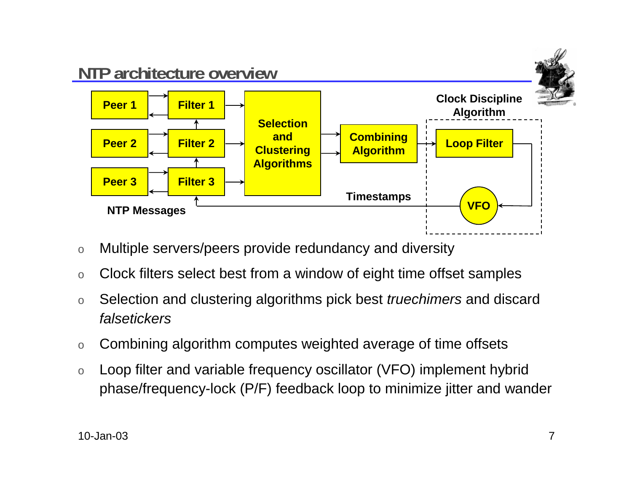

- oMultiple servers/peers provide redundancy and diversity
- oClock filters select best from a window of eight time offset samples
- o Selection and clustering algorithms pick best truechimers and discard falsetickers
- oCombining algorithm computes weighted average of time offsets
- o Loop filter and variable frequency oscillator (VFO) implement hybrid phase/frequency-lock (P/F) feedback loop to minimize jitter and wander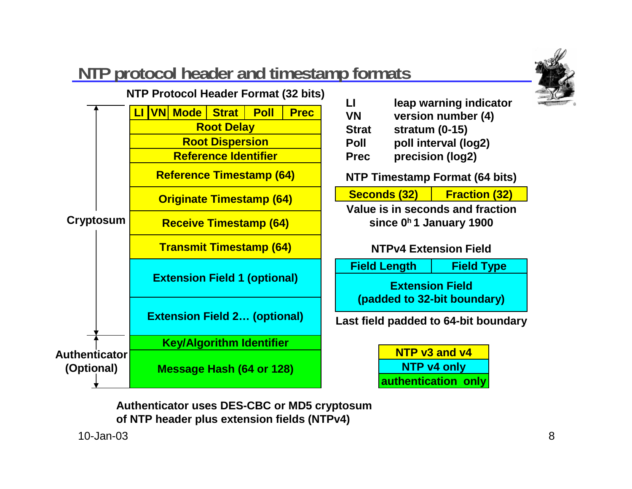

## **NTP protocol header and timestamp formats**



**Authenticator uses DES-CBC or MD5 cryptosum of NTP header plus extension fields (NTPv4)**

10-Jan-03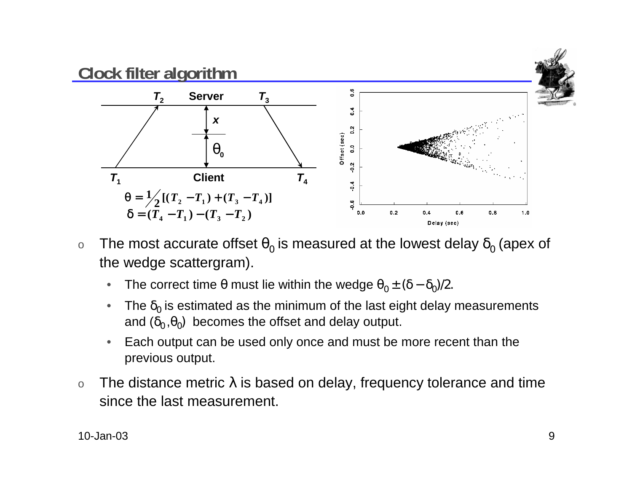

- o $\circ$  The most accurate offset  $\theta_0$  is measured at the lowest delay  $\delta_0$  (apex of the wedge scattergram).
	- • $\bullet$  The correct time θ must lie within the wedge  $\theta_0 \pm (\delta - \delta_0)/2.$
	- $\bullet$  $\bullet$  The  $\delta_0$  is estimated as the minimum of the last eight delay measurements and  $(\delta_0, \theta_0)$  becomes the offset and delay output.
	- • Each output can be used only once and must be more recent than the previous output.
- oThe distance metric  $\lambda$  is based on delay, frequency tolerance and time since the last measurement.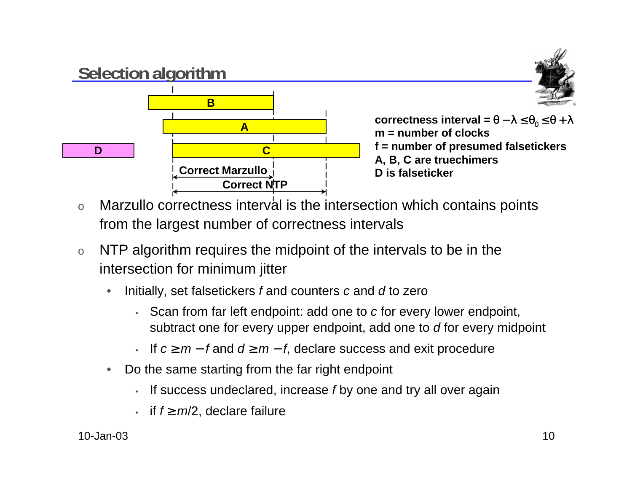

 $\textsf{correctness}$  interval = θ − λ ≤ θ $_0$  ≤ θ + λ **m = number of clocksf = number of presumed falsetickers A, B, C are truechimers D is falseticker**

- oMarzullo correctness interval is the intersection which contains points from the largest number of correctness intervals
- o NTP algorithm requires the midpoint of the intervals to be in the intersection for minimum jitter
	- • Initially, set falsetickers f and counters <sup>c</sup> and d to zero
		- Scan from far left endpoint: add one to <sup>c</sup> for every lower endpoint, subtract one for every upper endpoint, add one to d for every midpoint
		- If  $c \geq m f$  and  $d \geq m f$ , declare success and exit procedure
	- $\bullet$  Do the same starting from the far right endpoint
		- •If success undeclared, increase f by one and try all over again
		- if  $f \ge m/2$ , declare failure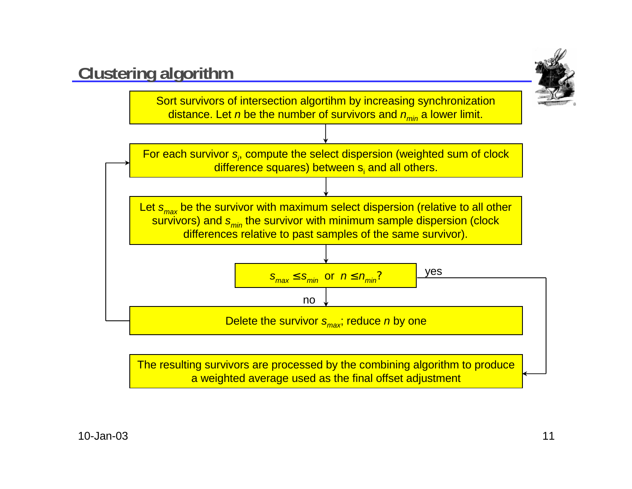

The resulting survivors are processed by the combining algorithm to produce a weighted average used as the final offset adjustment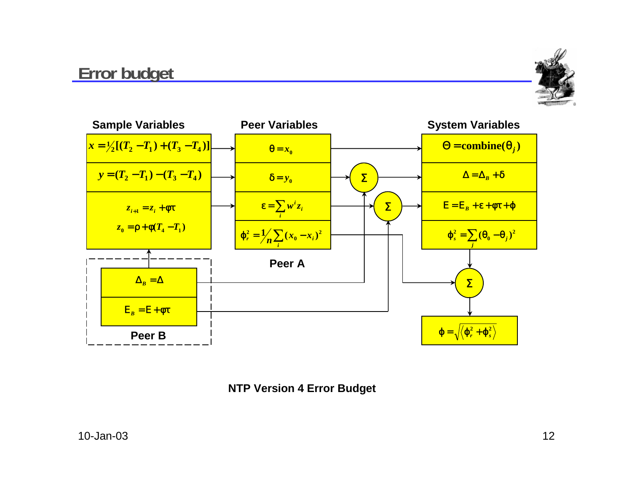#### **Error budget**





**NTP Version 4 Error Budget**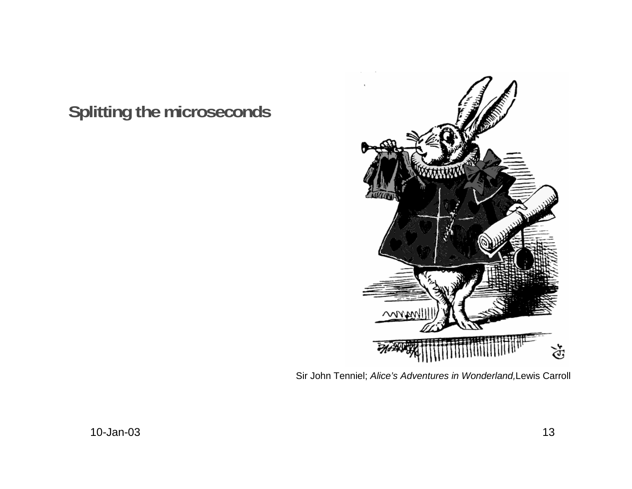## **Splitting the microseconds**



Sir John Tenniel; Alice's Adventures in Wonderland,Lewis Carroll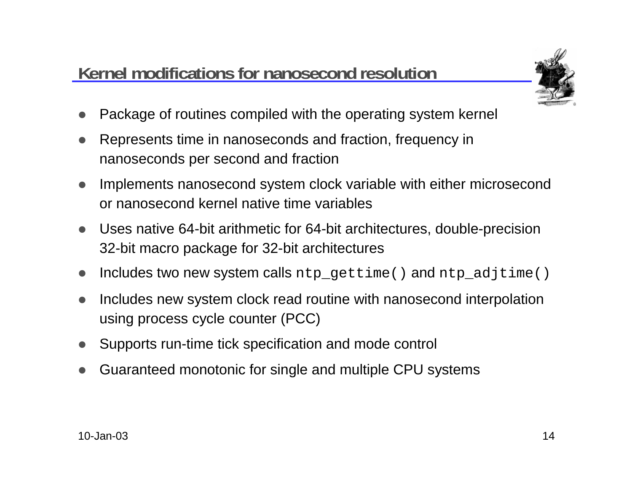## **Kernel modifications for nanosecond resolution**



- $\bullet$ Package of routines compiled with the operating system kernel
- $\bullet$  Represents time in nanoseconds and fraction, frequency in nanoseconds per second and fraction
- $\bullet$  Implements nanosecond system clock variable with either microsecond or nanosecond kernel native time variables
- $\bullet$  Uses native 64-bit arithmetic for 64-bit architectures, double-precision 32-bit macro package for 32-bit architectures
- $\bullet$ Includes two new system calls ntp\_gettime() and ntp\_adjtime()
- $\bullet$  Includes new system clock read routine with nanosecond interpolation using process cycle counter (PCC)
- $\bullet$ Supports run-time tick specification and mode control
- $\bullet$ Guaranteed monotonic for single and multiple CPU systems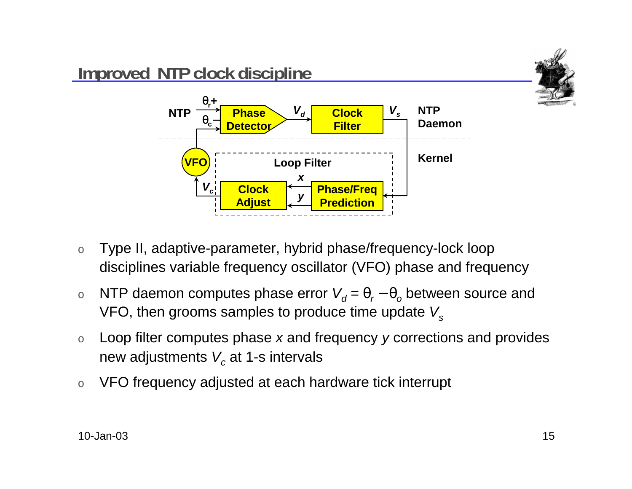

- o Type II, adaptive-parameter, hybrid phase/frequency-lock loop disciplines variable frequency oscillator (VFO) phase and frequency
- o $\circ$  NTP daemon computes phase error  $\mathcal{V}_{d}$  =  $\theta_{r}$  –  $\theta_{o}$  between source and VFO, then grooms samples to produce time update  $V_s$
- o Loop filter computes phase <sup>x</sup> and frequency y corrections and provides new adjustments  $\boldsymbol{V_c}$  at 1-s intervals
- oVFO frequency adjusted at each hardware tick interrupt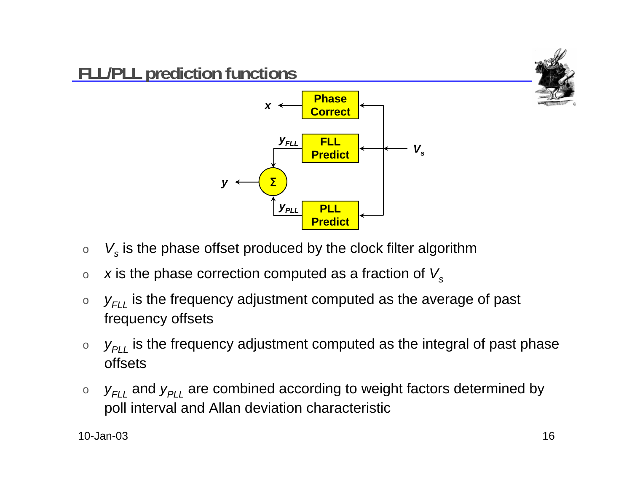

- o $\circ\quad \mathsf{V}_{\mathsf{s}}$  is the phase offset produced by the clock filter algorithm
- ox is the phase correction computed as a fraction of  $V_s$
- o $\circ \quad \mathsf{y}_{\mathsf{FLL}}$  is the frequency adjustment computed as the average of past frequency offsets
- o $\circ$   $\;\mathsf{y}_{\mathsf{PLL}}$  is the frequency adjustment computed as the integral of past phase offsets
- o $\circ$   $\;\;{\rm y}_{FLL}$  and  ${\rm y}_{PLL}$  are combined according to weight factors determined by poll interval and Allan deviation characteristic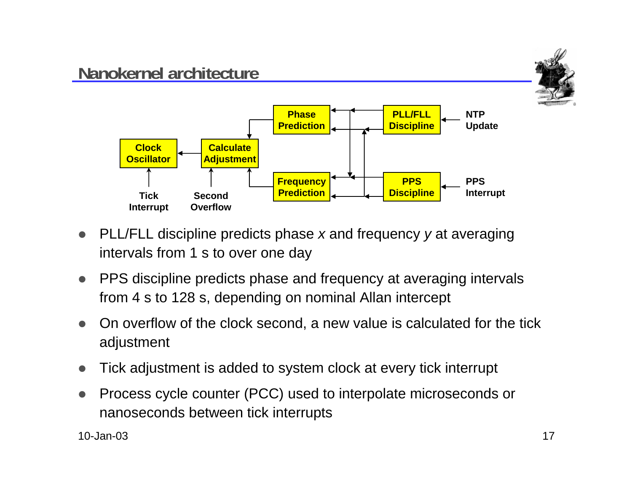

- $\bullet$  PLL/FLL discipline predicts phase <sup>x</sup> and frequency y at averaging intervals from 1 s to over one day
- $\bullet$  PPS discipline predicts phase and frequency at averaging intervals from 4 s to 128 s, depending on nominal Allan intercept
- $\bullet$  On overflow of the clock second, a new value is calculated for the tick adjustment
- $\bullet$ Tick adjustment is added to system clock at every tick interrupt
- $\bullet$  Process cycle counter (PCC) used to interpolate microseconds or nanoseconds between tick interrupts

10-Jan-03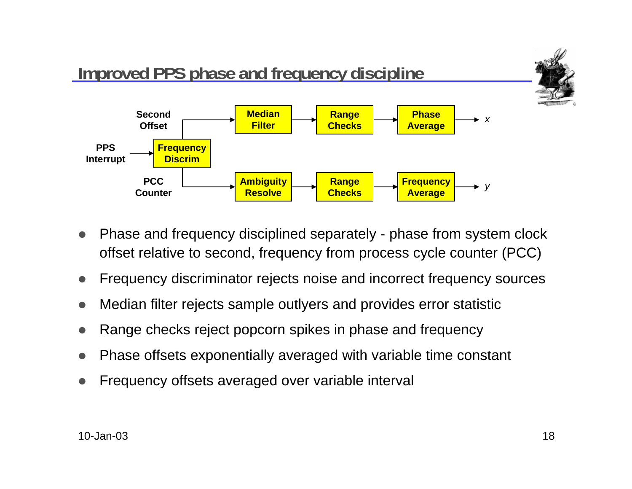

- $\bullet$  Phase and frequency disciplined separately - phase from system clock offset relative to second, frequency from process cycle counter (PCC)
- $\bullet$ Frequency discriminator rejects noise and incorrect frequency sources
- $\bullet$ Median filter rejects sample outlyers and provides error statistic
- $\bullet$ Range checks reject popcorn spikes in phase and frequency
- $\bullet$ Phase offsets exponentially averaged with variable time constant
- $\bullet$ Frequency offsets averaged over variable interval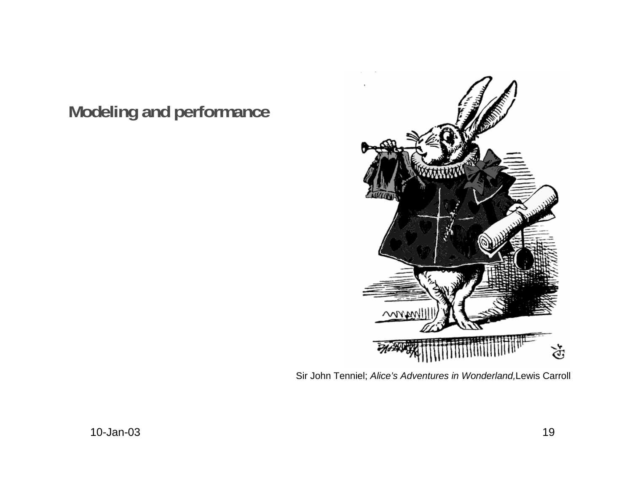## **Modeling and performance**



Sir John Tenniel; Alice's Adventures in Wonderland,Lewis Carroll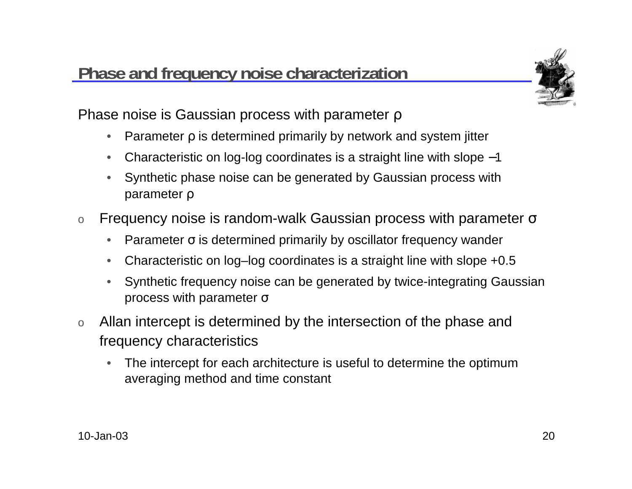#### **Phase and frequency noise characterization**



Phase noise is Gaussian process with parameter ρ

- $\bullet$ Parameter ρ is determined primarily by network and system jitter
- •Characteristic on log-log coordinates is a straight line with slope −1
- • Synthetic phase noise can be generated by Gaussian process with parameter ρ
- oFrequency noise is random-walk Gaussian process with parameter  $\sigma$ 
	- $\bullet$ Parameter  $\sigma$  is determined primarily by oscillator frequency wander
	- •Characteristic on log–log coordinates is a straight line with slope +0.5
	- • Synthetic frequency noise can be generated by twice-integrating Gaussian process with parameter <sup>σ</sup>
- o Allan intercept is determined by the intersection of the phase and frequency characteristics
	- • The intercept for each architecture is useful to determine the optimum averaging method and time constant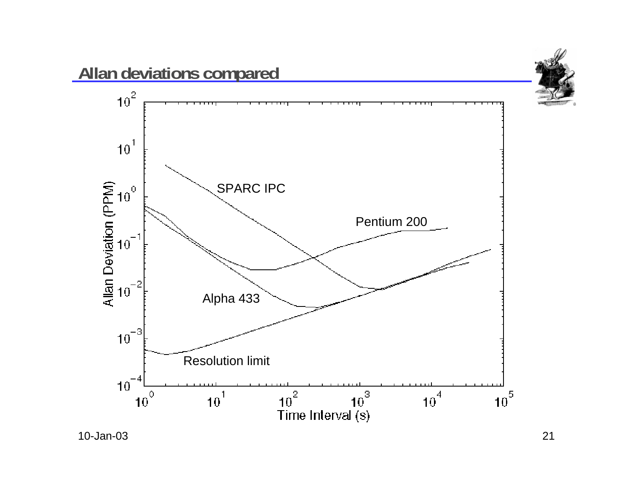

10-Jan-03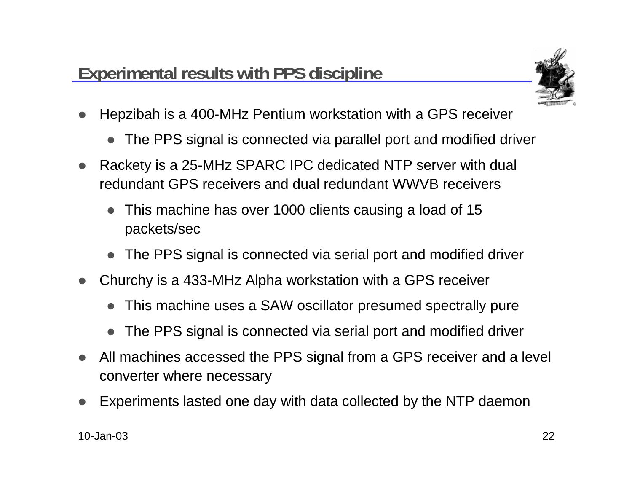

- $\bullet$  Hepzibah is a 400-MHz Pentium workstation with a GPS receiver
	- The PPS signal is connected via parallel port and modified driver
- $\bullet$  Rackety is a 25-MHz SPARC IPC dedicated NTP server with dual redundant GPS receivers and dual redundant WWVB receivers
	- This machine has over 1000 clients causing a load of 15 packets/sec
	- The PPS signal is connected via serial port and modified driver
- $\bullet$  Churchy is a 433-MHz Alpha workstation with a GPS receiver
	- $\bullet$ This machine uses a SAW oscillator presumed spectrally pure
	- $\bullet$ The PPS signal is connected via serial port and modified driver
- $\bullet$  All machines accessed the PPS signal from a GPS receiver and a level converter where necessary
- $\bullet$ Experiments lasted one day with data collected by the NTP daemon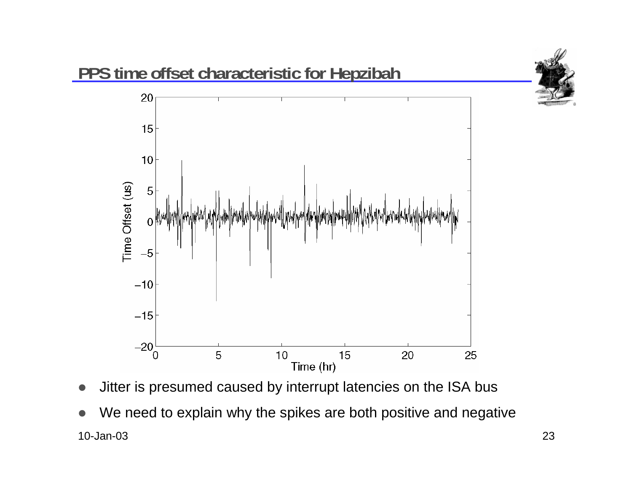

- $\bullet$ Jitter is presumed caused by interrupt latencies on the ISA bus
- 10-Jan-033 and the contract of the contract of the contract of the contract of the contract of the contract of the contract of the contract of the contract of the contract of the contract of the contract of the contract of the cont  $\bullet$ We need to explain why the spikes are both positive and negative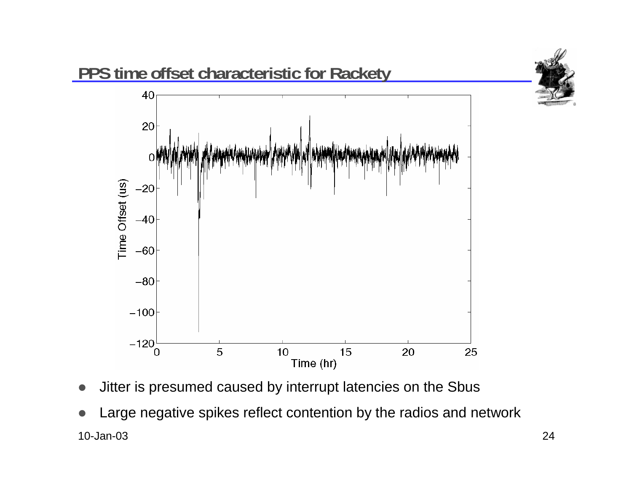

- $\bullet$ Jitter is presumed caused by interrupt latencies on the Sbus
- 10-Jan-03 $3$  and  $24$  $\bullet$ Large negative spikes reflect contention by the radios and network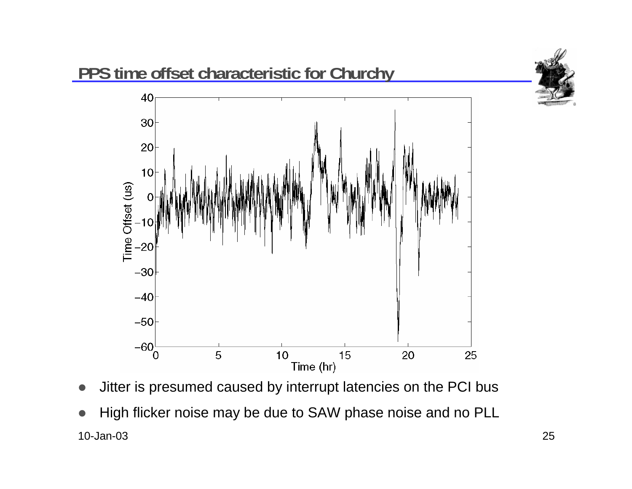

- $\bullet$ Jitter is presumed caused by interrupt latencies on the PCI bus
- 10-Jan-03 $3$  and  $25$  $\bullet$ High flicker noise may be due to SAW phase noise and no PLL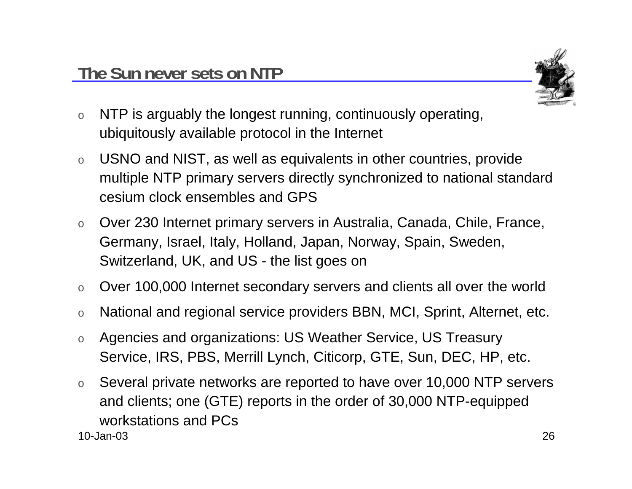

- o NTP is arguably the longest running, continuously operating, ubiquitously available protocol in the Internet
- o USNO and NIST, as well as equivalents in other countries, provide multiple NTP primary servers directly synchronized to national standard cesium clock ensembles and GPS
- o Over 230 Internet primary servers in Australia, Canada, Chile, France, Germany, Israel, Italy, Holland, Japan, Norway, Spain, Sweden, Switzerland, UK, and US - the list goes on
- oOver 100,000 Internet secondary servers and clients all over the world
- oNational and regional service providers BBN, MCI, Sprint, Alternet, etc.
- o Agencies and organizations: US Weather Service, US Treasury Service, IRS, PBS, Merrill Lynch, Citicorp, GTE, Sun, DEC, HP, etc.
- 10-Jan-03 $3$  and  $26$ o Several private networks are reported to have over 10,000 NTP servers and clients; one (GTE) reports in the order of 30,000 NTP-equipped workstations and PCs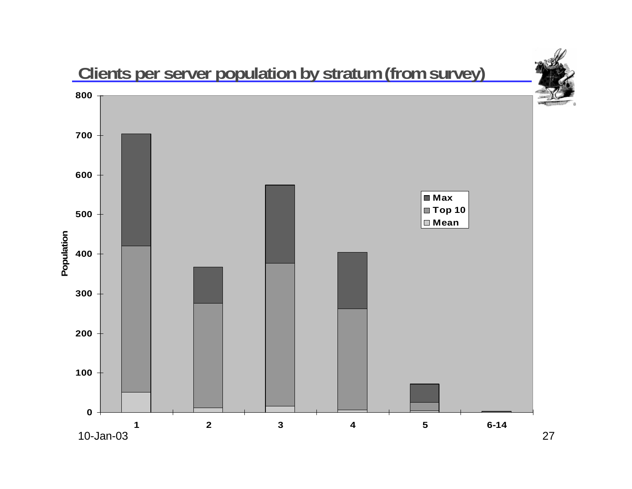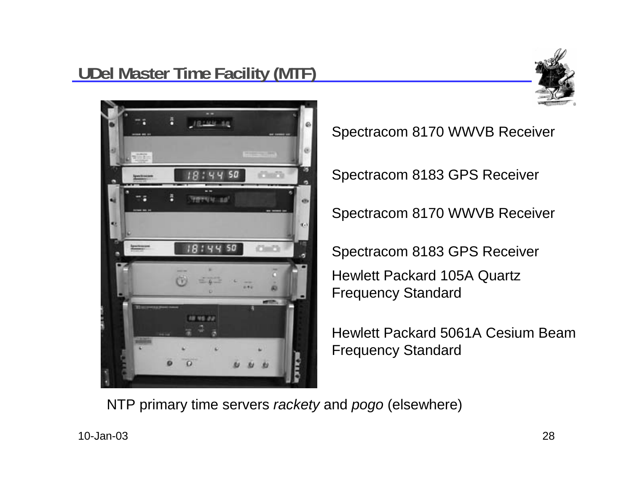## **LUDEL Master Time Facility (MTF)**





Spectracom 8170 WWVB Receiver

Spectracom 8183 GPS Receiver

Spectracom 8170 WWVB Receiver

Spectracom 8183 GPS Receiver Hewlett Packard 105A Quartz Frequency Standard

Hewlett Packard 5061A Cesium BeamFrequency Standard

NTP primary time servers rackety and pogo (elsewhere)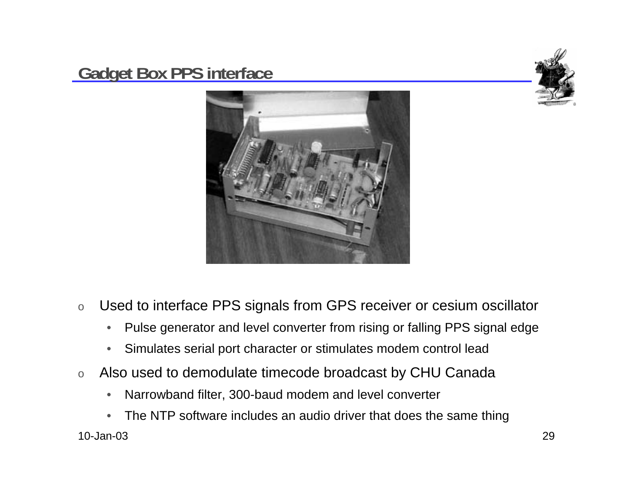#### **Gadget Box PPS interface**





- o Used to interface PPS signals from GPS receiver or cesium oscillator
	- •Pulse generator and level converter from rising or falling PPS signal edge
	- •Simulates serial port character or stimulates modem control lead
- o Also used to demodulate timecode broadcast by CHU Canada
	- •Narrowband filter, 300-baud modem and level converter
- 10-Jan-03 $3$  and  $29$ •The NTP software includes an audio driver that does the same thing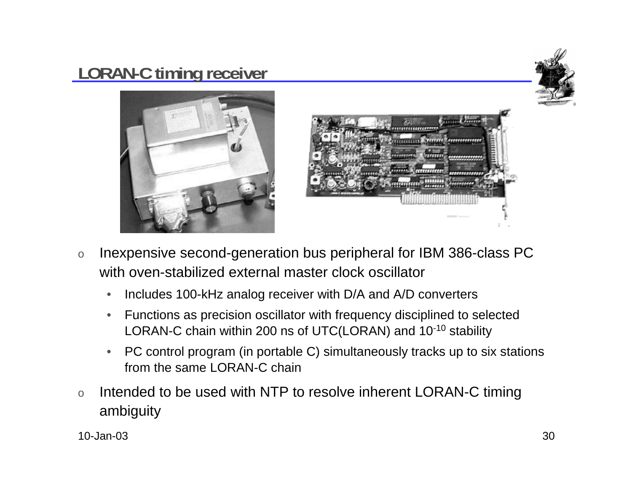## **LORAN-C timing receiver**







- o Inexpensive second-generation bus peripheral for IBM 386-class PC with oven-stabilized external master clock oscillator
	- $\bullet$ Includes 100-kHz analog receiver with D/A and A/D converters
	- • Functions as precision oscillator with frequency disciplined to selected LORAN-C chain within 200 ns of UTC(LORAN) and 10-10 stability
	- $\bullet$  PC control program (in portable C) simultaneously tracks up to six stations from the same LORAN-C chain
- o Intended to be used with NTP to resolve inherent LORAN-C timing ambiguity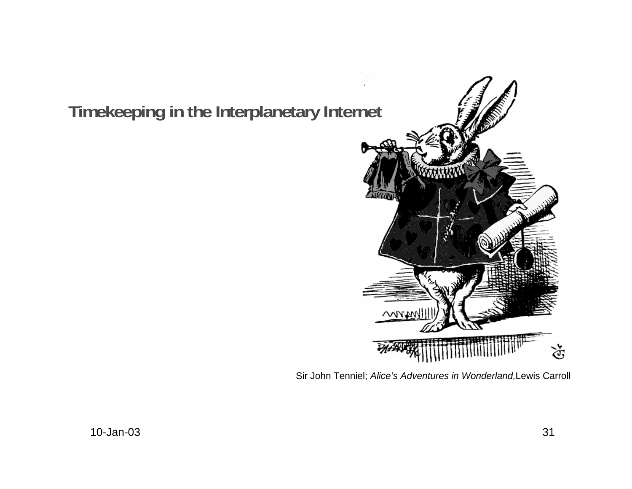#### **Timekeeping in the Interplanetary Internet**



Sir John Tenniel; Alice's Adventures in Wonderland,Lewis Carroll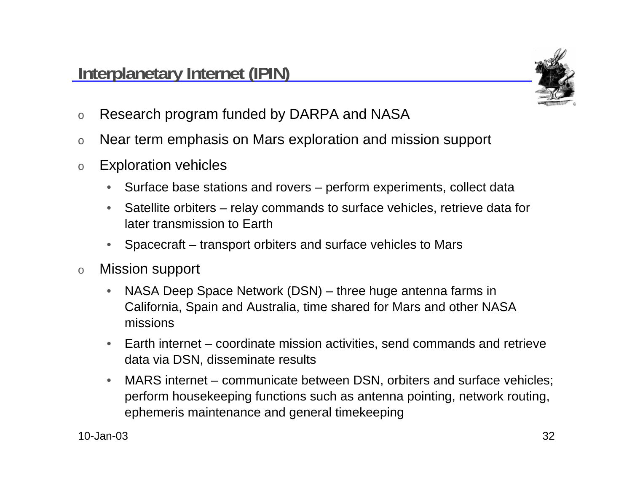

- oResearch program funded by DARPA and NASA
- oNear term emphasis on Mars exploration and mission support
- o Exploration vehicles
	- •Surface base stations and rovers – perform experiments, collect data
	- $\bullet$  Satellite orbiters – relay commands to surface vehicles, retrieve data for later transmission to Earth
	- •Spacecraft – transport orbiters and surface vehicles to Mars
- o Mission support
	- • NASA Deep Space Network (DSN) – three huge antenna farms in California, Spain and Australia, time shared for Mars and other NASA missions
	- • Earth internet – coordinate mission activities, send commands and retrieve data via DSN, disseminate results
	- • MARS internet – communicate between DSN, orbiters and surface vehicles; perform housekeeping functions such as antenna pointing, network routing, ephemeris maintenance and general timekeeping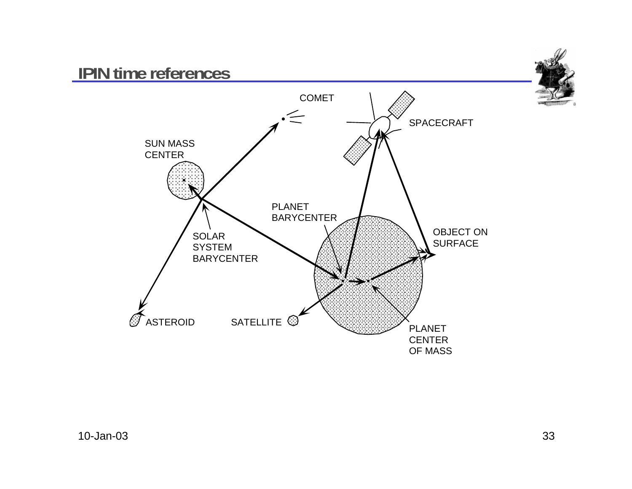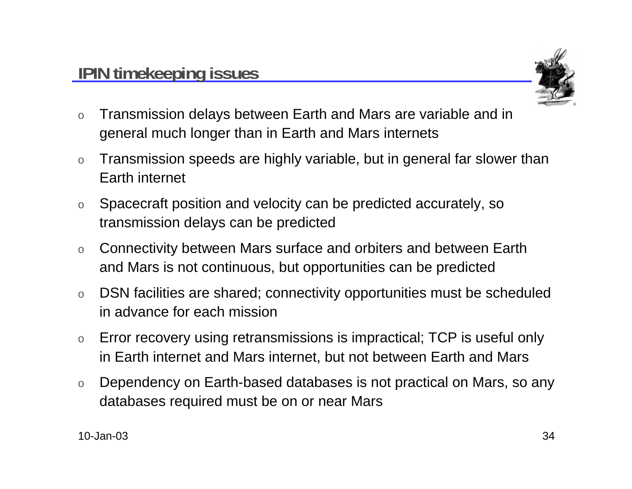

- o Transmission delays between Earth and Mars are variable and in general much longer than in Earth and Mars internets
- o Transmission speeds are highly variable, but in general far slower than Earth internet
- o Spacecraft position and velocity can be predicted accurately, so transmission delays can be predicted
- o Connectivity between Mars surface and orbiters and between Earth and Mars is not continuous, but opportunities can be predicted
- o DSN facilities are shared; connectivity opportunities must be scheduled in advance for each mission
- o Error recovery using retransmissions is impractical; TCP is useful only in Earth internet and Mars internet, but not between Earth and Mars
- o Dependency on Earth-based databases is not practical on Mars, so any databases required must be on or near Mars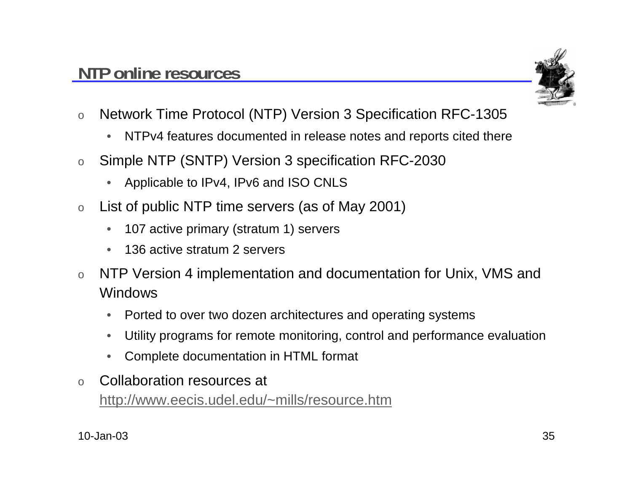

- o Network Time Protocol (NTP) Version 3 Specification RFC-1305
	- $\bullet$ NTPv4 features documented in release notes and reports cited there
- o Simple NTP (SNTP) Version 3 specification RFC-2030
	- •Applicable to IPv4, IPv6 and ISO CNLS
- o List of public NTP time servers (as of May 2001)
	- $\bullet$ 107 active primary (stratum 1) servers
	- •136 active stratum 2 servers
- o NTP Version 4 implementation and documentation for Unix, VMS and Windows
	- •Ported to over two dozen architectures and operating systems
	- •Utility programs for remote monitoring, control and performance evaluation
	- •Complete documentation in HTML format
- o Collaboration resources at http://www.eecis.udel.edu/~mills/resource.htm